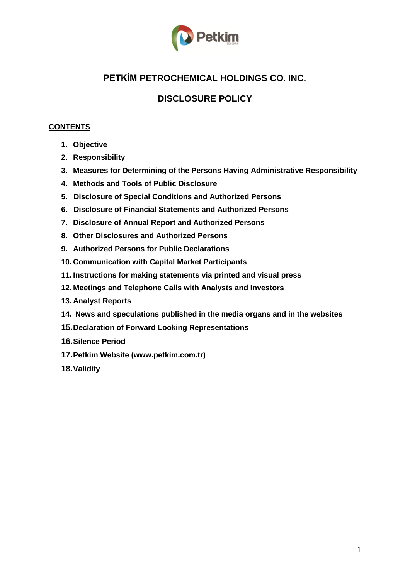

# **PETKİM PETROCHEMICAL HOLDINGS CO. INC.**

# **DISCLOSURE POLICY**

## **CONTENTS**

- **1. Objective**
- **2. Responsibility**
- **3. Measures for Determining of the Persons Having Administrative Responsibility**
- **4. Methods and Tools of Public Disclosure**
- **5. Disclosure of Special Conditions and Authorized Persons**
- **6. Disclosure of Financial Statements and Authorized Persons**
- **7. Disclosure of Annual Report and Authorized Persons**
- **8. Other Disclosures and Authorized Persons**
- **9. Authorized Persons for Public Declarations**
- **10. Communication with Capital Market Participants**
- **11. Instructions for making statements via printed and visual press**
- **12. Meetings and Telephone Calls with Analysts and Investors**
- **13. Analyst Reports**
- **14. News and speculations published in the media organs and in the websites**
- **15.Declaration of Forward Looking Representations**
- **16.Silence Period**
- **17.Petkim Website (www.petkim.com.tr)**
- **18.Validity**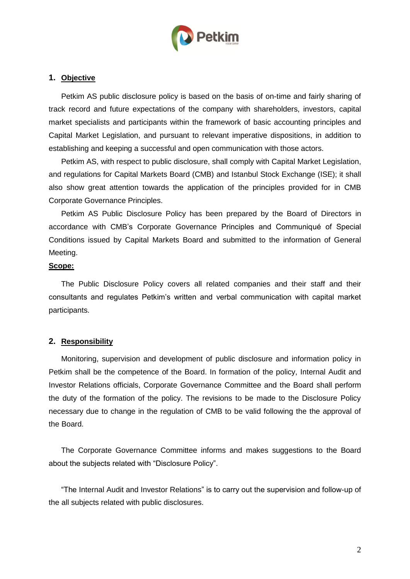

## **1. Objective**

Petkim AS public disclosure policy is based on the basis of on-time and fairly sharing of track record and future expectations of the company with shareholders, investors, capital market specialists and participants within the framework of basic accounting principles and Capital Market Legislation, and pursuant to relevant imperative dispositions, in addition to establishing and keeping a successful and open communication with those actors.

Petkim AS, with respect to public disclosure, shall comply with Capital Market Legislation, and regulations for Capital Markets Board (CMB) and Istanbul Stock Exchange (ISE); it shall also show great attention towards the application of the principles provided for in CMB Corporate Governance Principles.

Petkim AS Public Disclosure Policy has been prepared by the Board of Directors in accordance with CMB's Corporate Governance Principles and Communiqué of Special Conditions issued by Capital Markets Board and submitted to the information of General Meeting.

#### **Scope:**

The Public Disclosure Policy covers all related companies and their staff and their consultants and regulates Petkim's written and verbal communication with capital market participants.

### **2. Responsibility**

Monitoring, supervision and development of public disclosure and information policy in Petkim shall be the competence of the Board. In formation of the policy, Internal Audit and Investor Relations officials, Corporate Governance Committee and the Board shall perform the duty of the formation of the policy. The revisions to be made to the Disclosure Policy necessary due to change in the regulation of CMB to be valid following the the approval of the Board.

The Corporate Governance Committee informs and makes suggestions to the Board about the subjects related with "Disclosure Policy".

"The Internal Audit and Investor Relations" is to carry out the supervision and follow-up of the all subjects related with public disclosures.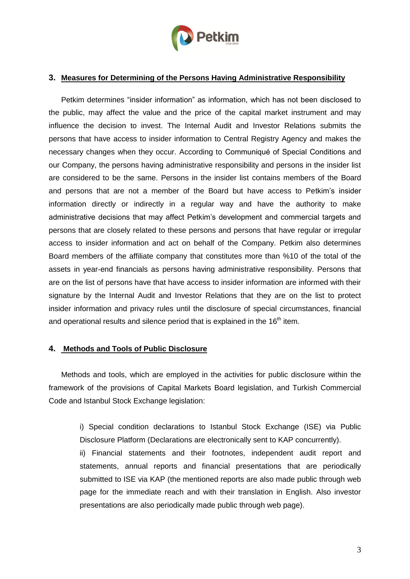

## **3. Measures for Determining of the Persons Having Administrative Responsibility**

Petkim determines "insider information" as information, which has not been disclosed to the public, may affect the value and the price of the capital market instrument and may influence the decision to invest. The Internal Audit and Investor Relations submits the persons that have access to insider information to Central Registry Agency and makes the necessary changes when they occur. According to Communiqué of Special Conditions and our Company, the persons having administrative responsibility and persons in the insider list are considered to be the same. Persons in the insider list contains members of the Board and persons that are not a member of the Board but have access to Petkim's insider information directly or indirectly in a regular way and have the authority to make administrative decisions that may affect Petkim's development and commercial targets and persons that are closely related to these persons and persons that have regular or irregular access to insider information and act on behalf of the Company. Petkim also determines Board members of the affiliate company that constitutes more than %10 of the total of the assets in year-end financials as persons having administrative responsibility. Persons that are on the list of persons have that have access to insider information are informed with their signature by the Internal Audit and Investor Relations that they are on the list to protect insider information and privacy rules until the disclosure of special circumstances, financial and operational results and silence period that is explained in the  $16<sup>th</sup>$  item.

### **4. Methods and Tools of Public Disclosure**

Methods and tools, which are employed in the activities for public disclosure within the framework of the provisions of Capital Markets Board legislation, and Turkish Commercial Code and Istanbul Stock Exchange legislation:

i) Special condition declarations to Istanbul Stock Exchange (ISE) via Public Disclosure Platform (Declarations are electronically sent to KAP concurrently).

ii) Financial statements and their footnotes, independent audit report and statements, annual reports and financial presentations that are periodically submitted to ISE via KAP (the mentioned reports are also made public through web page for the immediate reach and with their translation in English. Also investor presentations are also periodically made public through web page).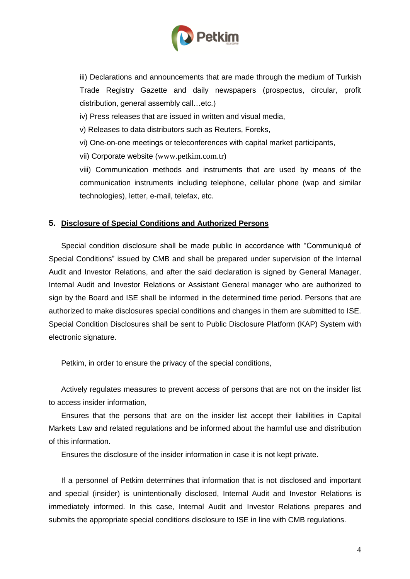

iii) Declarations and announcements that are made through the medium of Turkish Trade Registry Gazette and daily newspapers (prospectus, circular, profit distribution, general assembly call…etc.)

iv) Press releases that are issued in written and visual media,

v) Releases to data distributors such as Reuters, Foreks,

vi) One-on-one meetings or teleconferences with capital market participants,

vii) Corporate website ([www.petkim.com.tr](../Local%20Settings/Temp/Local%20Settings/Temp/fugan/Local%20Settings/Temp/stunasoy/Local%20Settings/Temp/Local%20Settings/Temp/Local%20Settings/Temp/Domino%20Web%20Access/www.petkim.com.tr))

viii) Communication methods and instruments that are used by means of the communication instruments including telephone, cellular phone (wap and similar technologies), letter, e-mail, telefax, etc.

## **5. Disclosure of Special Conditions and Authorized Persons**

Special condition disclosure shall be made public in accordance with "Communiqué of Special Conditions" issued by CMB and shall be prepared under supervision of the Internal Audit and Investor Relations, and after the said declaration is signed by General Manager, Internal Audit and Investor Relations or Assistant General manager who are authorized to sign by the Board and ISE shall be informed in the determined time period. Persons that are authorized to make disclosures special conditions and changes in them are submitted to ISE. Special Condition Disclosures shall be sent to Public Disclosure Platform (KAP) System with electronic signature.

Petkim, in order to ensure the privacy of the special conditions,

Actively regulates measures to prevent access of persons that are not on the insider list to access insider information,

Ensures that the persons that are on the insider list accept their liabilities in Capital Markets Law and related regulations and be informed about the harmful use and distribution of this information.

Ensures the disclosure of the insider information in case it is not kept private.

If a personnel of Petkim determines that information that is not disclosed and important and special (insider) is unintentionally disclosed, Internal Audit and Investor Relations is immediately informed. In this case, Internal Audit and Investor Relations prepares and submits the appropriate special conditions disclosure to ISE in line with CMB regulations.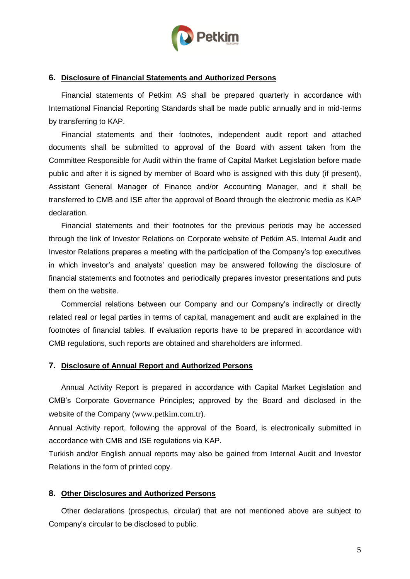

## **6. Disclosure of Financial Statements and Authorized Persons**

Financial statements of Petkim AS shall be prepared quarterly in accordance with International Financial Reporting Standards shall be made public annually and in mid-terms by transferring to KAP.

Financial statements and their footnotes, independent audit report and attached documents shall be submitted to approval of the Board with assent taken from the Committee Responsible for Audit within the frame of Capital Market Legislation before made public and after it is signed by member of Board who is assigned with this duty (if present), Assistant General Manager of Finance and/or Accounting Manager, and it shall be transferred to CMB and ISE after the approval of Board through the electronic media as KAP declaration.

Financial statements and their footnotes for the previous periods may be accessed through the link of Investor Relations on Corporate website of Petkim AS. Internal Audit and Investor Relations prepares a meeting with the participation of the Company's top executives in which investor's and analysts' question may be answered following the disclosure of financial statements and footnotes and periodically prepares investor presentations and puts them on the website.

Commercial relations between our Company and our Company's indirectly or directly related real or legal parties in terms of capital, management and audit are explained in the footnotes of financial tables. If evaluation reports have to be prepared in accordance with CMB regulations, such reports are obtained and shareholders are informed.

### **7. Disclosure of Annual Report and Authorized Persons**

Annual Activity Report is prepared in accordance with Capital Market Legislation and CMB's Corporate Governance Principles; approved by the Board and disclosed in the website of the Company ([www.petkim.com.tr](http://www.petkim.com.tr/)).

Annual Activity report, following the approval of the Board, is electronically submitted in accordance with CMB and ISE regulations via KAP.

Turkish and/or English annual reports may also be gained from Internal Audit and Investor Relations in the form of printed copy.

#### **8. Other Disclosures and Authorized Persons**

Other declarations (prospectus, circular) that are not mentioned above are subject to Company's circular to be disclosed to public.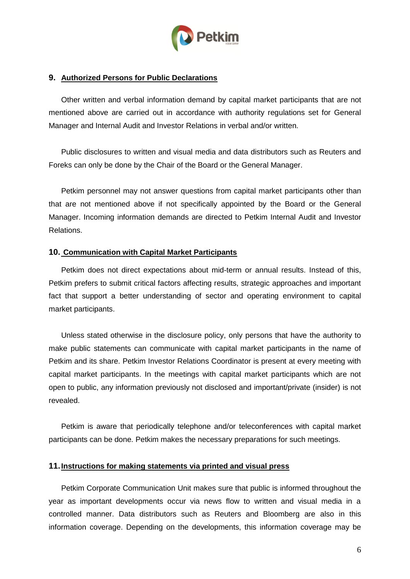

### **9. Authorized Persons for Public Declarations**

Other written and verbal information demand by capital market participants that are not mentioned above are carried out in accordance with authority regulations set for General Manager and Internal Audit and Investor Relations in verbal and/or written.

Public disclosures to written and visual media and data distributors such as Reuters and Foreks can only be done by the Chair of the Board or the General Manager.

Petkim personnel may not answer questions from capital market participants other than that are not mentioned above if not specifically appointed by the Board or the General Manager. Incoming information demands are directed to Petkim Internal Audit and Investor Relations.

#### **10. Communication with Capital Market Participants**

Petkim does not direct expectations about mid-term or annual results. Instead of this, Petkim prefers to submit critical factors affecting results, strategic approaches and important fact that support a better understanding of sector and operating environment to capital market participants.

Unless stated otherwise in the disclosure policy, only persons that have the authority to make public statements can communicate with capital market participants in the name of Petkim and its share. Petkim Investor Relations Coordinator is present at every meeting with capital market participants. In the meetings with capital market participants which are not open to public, any information previously not disclosed and important/private (insider) is not revealed.

Petkim is aware that periodically telephone and/or teleconferences with capital market participants can be done. Petkim makes the necessary preparations for such meetings.

#### **11.Instructions for making statements via printed and visual press**

Petkim Corporate Communication Unit makes sure that public is informed throughout the year as important developments occur via news flow to written and visual media in a controlled manner. Data distributors such as Reuters and Bloomberg are also in this information coverage. Depending on the developments, this information coverage may be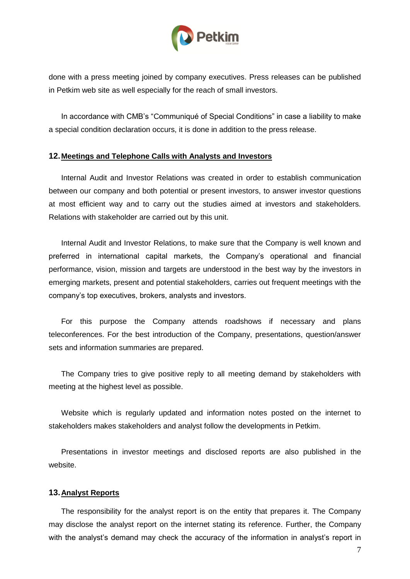

done with a press meeting joined by company executives. Press releases can be published in Petkim web site as well especially for the reach of small investors.

In accordance with CMB's "Communiqué of Special Conditions" in case a liability to make a special condition declaration occurs, it is done in addition to the press release.

#### **12.Meetings and Telephone Calls with Analysts and Investors**

Internal Audit and Investor Relations was created in order to establish communication between our company and both potential or present investors, to answer investor questions at most efficient way and to carry out the studies aimed at investors and stakeholders. Relations with stakeholder are carried out by this unit.

Internal Audit and Investor Relations, to make sure that the Company is well known and preferred in international capital markets, the Company's operational and financial performance, vision, mission and targets are understood in the best way by the investors in emerging markets, present and potential stakeholders, carries out frequent meetings with the company's top executives, brokers, analysts and investors.

For this purpose the Company attends roadshows if necessary and plans teleconferences. For the best introduction of the Company, presentations, question/answer sets and information summaries are prepared.

The Company tries to give positive reply to all meeting demand by stakeholders with meeting at the highest level as possible.

Website which is regularly updated and information notes posted on the internet to stakeholders makes stakeholders and analyst follow the developments in Petkim.

Presentations in investor meetings and disclosed reports are also published in the website.

### **13.Analyst Reports**

The responsibility for the analyst report is on the entity that prepares it. The Company may disclose the analyst report on the internet stating its reference. Further, the Company with the analyst's demand may check the accuracy of the information in analyst's report in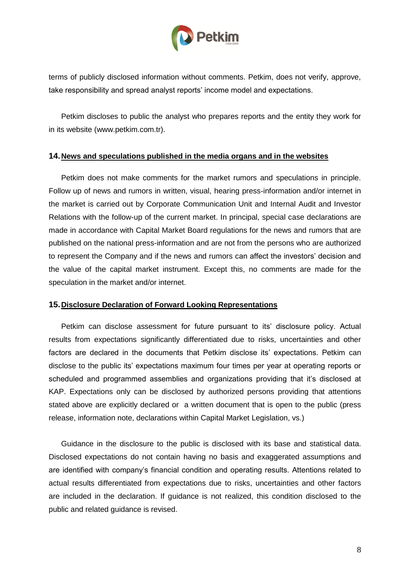

terms of publicly disclosed information without comments. Petkim, does not verify, approve, take responsibility and spread analyst reports' income model and expectations.

Petkim discloses to public the analyst who prepares reports and the entity they work for in its website (www.petkim.com.tr).

### **14.News and speculations published in the media organs and in the websites**

Petkim does not make comments for the market rumors and speculations in principle. Follow up of news and rumors in written, visual, hearing press-information and/or internet in the market is carried out by Corporate Communication Unit and Internal Audit and Investor Relations with the follow-up of the current market. In principal, special case declarations are made in accordance with Capital Market Board regulations for the news and rumors that are published on the national press-information and are not from the persons who are authorized to represent the Company and if the news and rumors can affect the investors' decision and the value of the capital market instrument. Except this, no comments are made for the speculation in the market and/or internet.

### **15.Disclosure Declaration of Forward Looking Representations**

Petkim can disclose assessment for future pursuant to its' disclosure policy. Actual results from expectations significantly differentiated due to risks, uncertainties and other factors are declared in the documents that Petkim disclose its' expectations. Petkim can disclose to the public its' expectations maximum four times per year at operating reports or scheduled and programmed assemblies and organizations providing that it's disclosed at KAP. Expectations only can be disclosed by authorized persons providing that attentions stated above are explicitly declared or a written document that is open to the public (press release, information note, declarations within Capital Market Legislation, vs.)

Guidance in the disclosure to the public is disclosed with its base and statistical data. Disclosed expectations do not contain having no basis and exaggerated assumptions and are identified with company's financial condition and operating results. Attentions related to actual results differentiated from expectations due to risks, uncertainties and other factors are included in the declaration. If guidance is not realized, this condition disclosed to the public and related guidance is revised.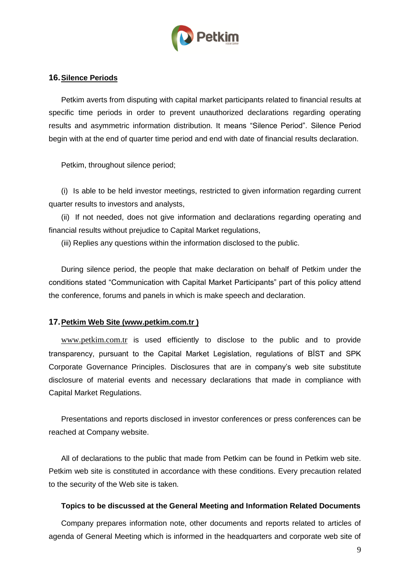

### **16.Silence Periods**

Petkim averts from disputing with capital market participants related to financial results at specific time periods in order to prevent unauthorized declarations regarding operating results and asymmetric information distribution. It means "Silence Period". Silence Period begin with at the end of quarter time period and end with date of financial results declaration.

Petkim, throughout silence period;

(i) Is able to be held investor meetings, restricted to given information regarding current quarter results to investors and analysts,

(ii) If not needed, does not give information and declarations regarding operating and financial results without prejudice to Capital Market regulations,

(iii) Replies any questions within the information disclosed to the public.

During silence period, the people that make declaration on behalf of Petkim under the conditions stated "Communication with Capital Market Participants" part of this policy attend the conference, forums and panels in which is make speech and declaration.

#### **17.Petkim Web Site (www.petkim.com.tr )**

[www.petkim.com.tr](http://www.petkim.com.tr/) is used efficiently to disclose to the public and to provide transparency, pursuant to the Capital Market Legislation, regulations of BİST and SPK Corporate Governance Principles. Disclosures that are in company's web site substitute disclosure of material events and necessary declarations that made in compliance with Capital Market Regulations.

Presentations and reports disclosed in investor conferences or press conferences can be reached at Company website.

All of declarations to the public that made from Petkim can be found in Petkim web site. Petkim web site is constituted in accordance with these conditions. Every precaution related to the security of the Web site is taken.

#### **Topics to be discussed at the General Meeting and Information Related Documents**

Company prepares information note, other documents and reports related to articles of agenda of General Meeting which is informed in the headquarters and corporate web site of